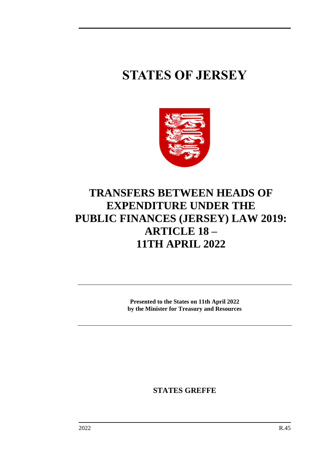## **STATES OF JERSEY**



## **TRANSFERS BETWEEN HEADS OF EXPENDITURE UNDER THE PUBLIC FINANCES (JERSEY) LAW 2019: ARTICLE 18 – 11TH APRIL 2022**

**Presented to the States on 11th April 2022 by the Minister for Treasury and Resources**

**STATES GREFFE**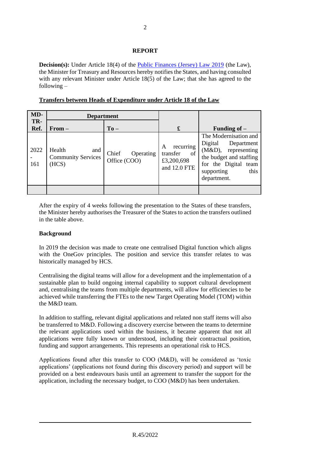## **REPORT**

**Decision(s):** Under Article 18(4) of the [Public Finances \(Jersey\) Law 2019](https://www.jerseylaw.je/laws/unofficialconsolidated/Pages/24.900.aspx) (the Law), the Minister for Treasury and Resources hereby notifies the States, and having consulted with any relevant Minister under Article 18(5) of the Law; that she has agreed to the following –

| MD-         | <b>Department</b>                                   |                                    |                                                                |                                                                                                                                                                     |
|-------------|-----------------------------------------------------|------------------------------------|----------------------------------------------------------------|---------------------------------------------------------------------------------------------------------------------------------------------------------------------|
| TR-<br>Ref. | $From -$                                            | $To -$                             | £                                                              | Funding of $-$                                                                                                                                                      |
| 2022<br>161 | Health<br>and<br><b>Community Services</b><br>(HCS) | Chief<br>Operating<br>Office (COO) | recurring<br>A<br>of<br>transfer<br>£3,200,698<br>and 12.0 FTE | The Modernisation and<br>Digital<br>Department<br>(M&D),<br>representing<br>the budget and staffing<br>for the Digital<br>team<br>this<br>supporting<br>department. |
|             |                                                     |                                    |                                                                |                                                                                                                                                                     |

**Transfers between Heads of Expenditure under Article 18 of the Law**

After the expiry of 4 weeks following the presentation to the States of these transfers, the Minister hereby authorises the Treasurer of the States to action the transfers outlined in the table above.

## **Background**

In 2019 the decision was made to create one centralised Digital function which aligns with the OneGov principles. The position and service this transfer relates to was historically managed by HCS.

Centralising the digital teams will allow for a development and the implementation of a sustainable plan to build ongoing internal capability to support cultural development and, centralising the teams from multiple departments, will allow for efficiencies to be achieved while transferring the FTEs to the new Target Operating Model (TOM) within the M&D team.

In addition to staffing, relevant digital applications and related non staff items will also be transferred to M&D. Following a discovery exercise between the teams to determine the relevant applications used within the business, it became apparent that not all applications were fully known or understood, including their contractual position, funding and support arrangements. This represents an operational risk to HCS.

Applications found after this transfer to COO (M&D), will be considered as 'toxic applications' (applications not found during this discovery period) and support will be provided on a best endeavours basis until an agreement to transfer the support for the application, including the necessary budget, to COO (M&D) has been undertaken.